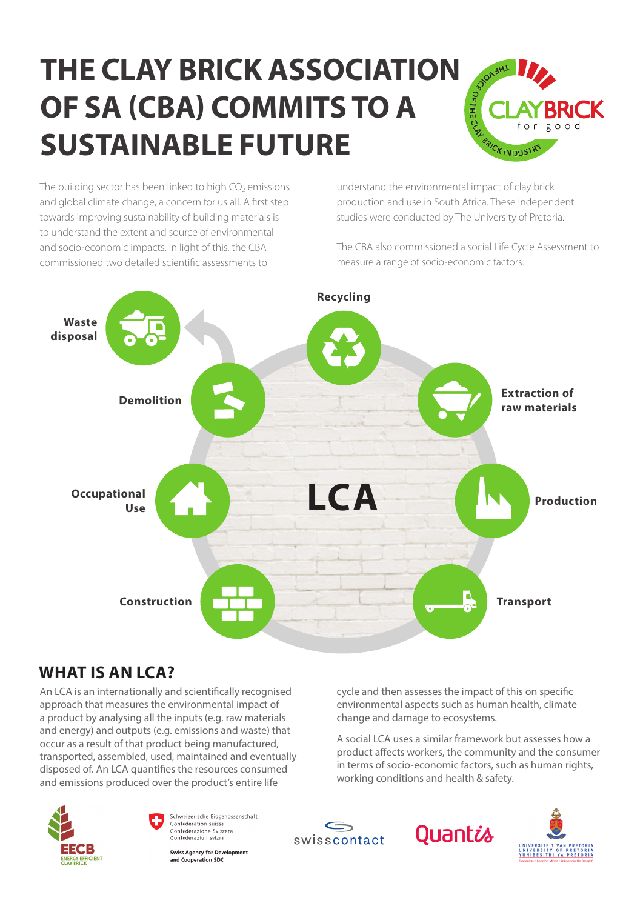### **the ClaY BRiCK assoCiation OF SA (CBA) COMMITS TO A sustainaBle futuRe**



The building sector has been linked to high  $CO<sub>2</sub>$  emissions and global climate change, a concern for us all. A first step towards improving sustainability of building materials is to understand the extent and source of environmental and socio-economic impacts. In light of this, the CBA commissioned two detailed scientific assessments to

understand the environmental impact of clay brick production and use in South Africa. These independent studies were conducted by The University of Pretoria.

The CBA also commissioned a social Life Cycle Assessment to measure a range of socio-economic factors.



#### **What is an lCa?**

An LCA is an internationally and scientifically recognised approach that measures the environmental impact of a product by analysing all the inputs (e.g. raw materials and energy) and outputs (e.g. emissions and waste) that occur as a result of that product being manufactured, transported, assembled, used, maintained and eventually disposed of. An LCA quantifies the resources consumed and emissions produced over the product's entire life

cycle and then assesses the impact of this on specific environmental aspects such as human health, climate change and damage to ecosystems.

A social LCA uses a similar framework but assesses how a product affects workers, the community and the consumer in terms of socio-economic factors, such as human rights, working conditions and health & safety.





**Swiss Agency for Development** and Cooperation SD(

swisscontact





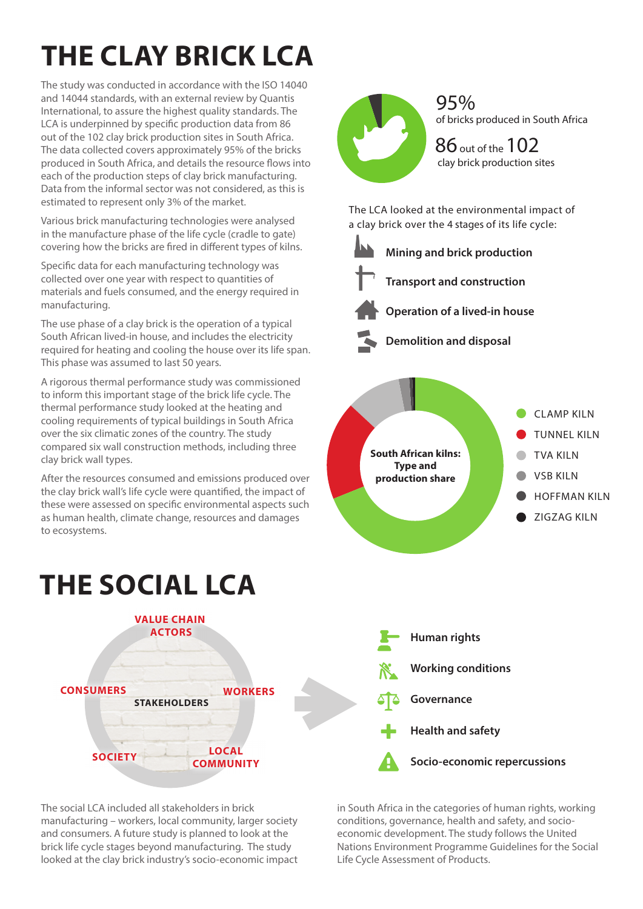### **the ClaY BRiCK lCa**

The study was conducted in accordance with the ISO 14040 and 14044 standards, with an external review by Quantis International, to assure the highest quality standards. The LCA is underpinned by specific production data from 86 out of the 102 clay brick production sites in South Africa. The data collected covers approximately 95% of the bricks produced in South Africa, and details the resource flows into each of the production steps of clay brick manufacturing. Data from the informal sector was not considered, as this is estimated to represent only 3% of the market.

Various brick manufacturing technologies were analysed in the manufacture phase of the life cycle (cradle to gate) covering how the bricks are fired in different types of kilns.

Specific data for each manufacturing technology was collected over one year with respect to quantities of materials and fuels consumed, and the energy required in manufacturing.

The use phase of a clay brick is the operation of a typical South African lived-in house, and includes the electricity required for heating and cooling the house over its life span. This phase was assumed to last 50 years.

A rigorous thermal performance study was commissioned to inform this important stage of the brick life cycle. The thermal performance study looked at the heating and cooling requirements of typical buildings in South Africa over the six climatic zones of the country. The study compared six wall construction methods, including three clay brick wall types.

After the resources consumed and emissions produced over the clay brick wall's life cycle were quantified, the impact of these were assessed on specific environmental aspects such as human health, climate change, resources and damages to ecosystems.

### **the soCial lCa**



The social LCA included all stakeholders in brick manufacturing – workers, local community, larger society and consumers. A future study is planned to look at the brick life cycle stages beyond manufacturing. The study looked at the clay brick industry's socio-economic impact



95% of bricks produced in South Africa

 $86$  out of the  $102$ clay brick production sites

The LCA looked at the environmental impact of a clay brick over the 4 stages of its life cycle:





**Operation of a lived-in house**



**Demolition and disposal**





in South Africa in the categories of human rights, working conditions, governance, health and safety, and socioeconomic development. The study follows the United Nations Environment Programme Guidelines for the Social Life Cycle Assessment of Products.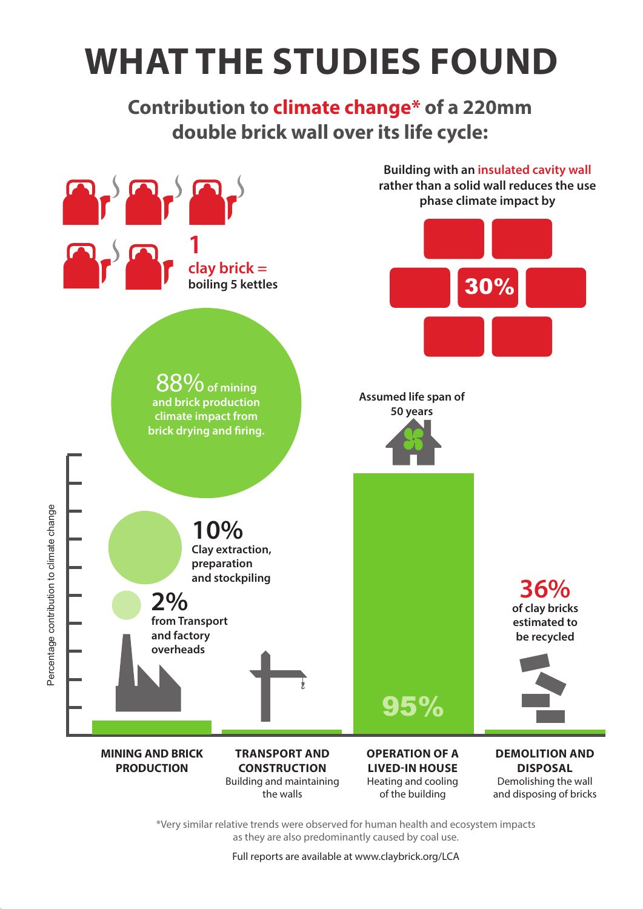# **What the studies found**

**Contribution to climate change\* of a 220mm double brick wall over its life cycle:**



\*Very similar relative trends were observed for human health and ecosystem impacts as they are also predominantly caused by coal use.

Full reports are available at www.claybrick.org/LCA